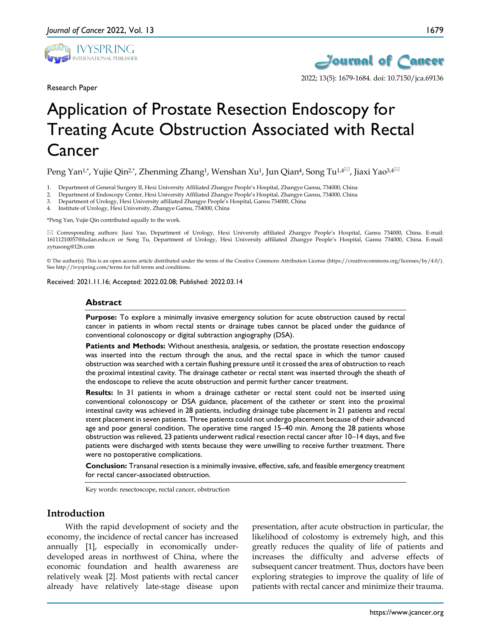

Research Paper



2022; 13(5): 1679-1684. doi: 10.7150/jca.69136

# Application of Prostate Resection Endoscopy for Treating Acute Obstruction Associated with Rectal Cancer

Peng Yan<sup>1,\*</sup>, Yujie Qin<sup>2,\*</sup>, Zhenming Zhang<sup>1</sup>, Wenshan Xu<sup>1</sup>, Jun Qian<sup>4</sup>, Song Tu<sup>1,4 $\boxtimes$ , Jiaxi Yao<sup>3,4 $\boxtimes$ </sup></sup>

1. Department of General Surgery II, Hexi University Affiliated Zhangye People's Hospital, Zhangye Gansu, 734000, China

2. Department of Endoscopy Center, Hexi University Affiliated Zhangye People's Hospital, Zhangye Gansu, 734000, China

3. Department of Urology, Hexi University affiliated Zhangye People's Hospital, Gansu 734000, China

4. Institute of Urology, Hexi University, Zhangye Gansu, 734000, China

\*Peng Yan, Yujie Qin contributed equally to the work.

 Corresponding authors: Jiaxi Yao, Department of Urology, Hexi University affiliated Zhangye People's Hospital, Gansu 734000, China. E-mail: 16111210057@fudan.edu.cn or Song Tu, Department of Urology, Hexi University affiliated Zhangye People's Hospital, Gansu 734000, China. E-mail: zytusong@126.com

© The author(s). This is an open access article distributed under the terms of the Creative Commons Attribution License (https://creativecommons.org/licenses/by/4.0/). See http://ivyspring.com/terms for full terms and conditions.

Received: 2021.11.16; Accepted: 2022.02.08; Published: 2022.03.14

#### **Abstract**

**Purpose:** To explore a minimally invasive emergency solution for acute obstruction caused by rectal cancer in patients in whom rectal stents or drainage tubes cannot be placed under the guidance of conventional colonoscopy or digital subtraction angiography (DSA).

**Patients and Methods:** Without anesthesia, analgesia, or sedation, the prostate resection endoscopy was inserted into the rectum through the anus, and the rectal space in which the tumor caused obstruction was searched with a certain flushing pressure until it crossed the area of obstruction to reach the proximal intestinal cavity. The drainage catheter or rectal stent was inserted through the sheath of the endoscope to relieve the acute obstruction and permit further cancer treatment.

**Results:** In 31 patients in whom a drainage catheter or rectal stent could not be inserted using conventional colonoscopy or DSA guidance, placement of the catheter or stent into the proximal intestinal cavity was achieved in 28 patients, including drainage tube placement in 21 patients and rectal stent placement in seven patients. Three patients could not undergo placement because of their advanced age and poor general condition. The operative time ranged 15–40 min. Among the 28 patients whose obstruction was relieved, 23 patients underwent radical resection rectal cancer after 10–14 days, and five patients were discharged with stents because they were unwilling to receive further treatment. There were no postoperative complications.

**Conclusion:** Transanal resection is a minimally invasive, effective, safe, and feasible emergency treatment for rectal cancer-associated obstruction.

Key words: resectoscope, rectal cancer, obstruction

## **Introduction**

With the rapid development of society and the economy, the incidence of rectal cancer has increased annually [1], especially in economically underdeveloped areas in northwest of China, where the economic foundation and health awareness are relatively weak [2]. Most patients with rectal cancer already have relatively late-stage disease upon

presentation, after acute obstruction in particular, the likelihood of colostomy is extremely high, and this greatly reduces the quality of life of patients and increases the difficulty and adverse effects of subsequent cancer treatment. Thus, doctors have been exploring strategies to improve the quality of life of patients with rectal cancer and minimize their trauma.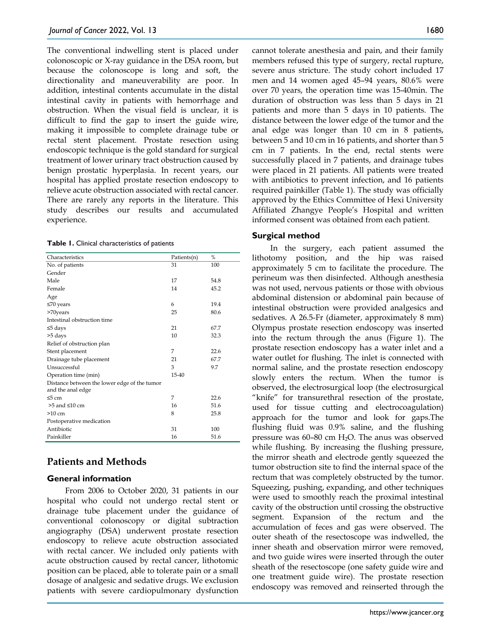The conventional indwelling stent is placed under colonoscopic or X-ray guidance in the DSA room, but because the colonoscope is long and soft, the directionality and maneuverability are poor. In addition, intestinal contents accumulate in the distal intestinal cavity in patients with hemorrhage and obstruction. When the visual field is unclear, it is difficult to find the gap to insert the guide wire, making it impossible to complete drainage tube or rectal stent placement. Prostate resection using endoscopic technique is the gold standard for surgical treatment of lower urinary tract obstruction caused by benign prostatic hyperplasia. In recent years, our hospital has applied prostate resection endoscopy to relieve acute obstruction associated with rectal cancer. There are rarely any reports in the literature. This study describes our results and accumulated experience.

**Table 1.** Clinical characteristics of patients

| Characteristics                                                   | Patients(n) | $\frac{0}{2}$ |
|-------------------------------------------------------------------|-------------|---------------|
| No. of patients                                                   | 31          | 100           |
| Gender                                                            |             |               |
| Male                                                              | 17          | 54.8          |
| Female                                                            | 14          | 45.2          |
| Age                                                               |             |               |
| $\leq 70$ years                                                   | 6           | 19.4          |
| >70years                                                          | 25          | 80.6          |
| Intestinal obstruction time                                       |             |               |
| $\leq$ 5 days                                                     | 21          | 67.7          |
| >5 days                                                           | 10          | 32.3          |
| Relief of obstruction plan                                        |             |               |
| Stent placement                                                   | 7           | 22.6          |
| Drainage tube placement                                           | 21          | 67.7          |
| Unsuccessful                                                      | 3           | 9.7           |
| Operation time (min)                                              | 15-40       |               |
| Distance between the lower edge of the tumor<br>and the anal edge |             |               |
| $\leq 5$ cm                                                       | 7           | 22.6          |
| $>5$ and $\leq 10$ cm                                             | 16          | 51.6          |
| $>10 \text{ cm}$                                                  | 8           | 25.8          |
| Postoperative medication                                          |             |               |
| Antibiotic                                                        | 31          | 100           |
| Painkiller                                                        | 16          | 51.6          |

## **Patients and Methods**

## **General information**

From 2006 to October 2020, 31 patients in our hospital who could not undergo rectal stent or drainage tube placement under the guidance of conventional colonoscopy or digital subtraction angiography (DSA) underwent prostate resection endoscopy to relieve acute obstruction associated with rectal cancer. We included only patients with acute obstruction caused by rectal cancer, lithotomic position can be placed, able to tolerate pain or a small dosage of analgesic and sedative drugs. We exclusion patients with severe cardiopulmonary dysfunction

cannot tolerate anesthesia and pain, and their family members refused this type of surgery, rectal rupture, severe anus stricture. The study cohort included 17 men and 14 women aged 45–94 years, 80.6% were over 70 years, the operation time was 15-40min. The duration of obstruction was less than 5 days in 21 patients and more than 5 days in 10 patients. The distance between the lower edge of the tumor and the anal edge was longer than 10 cm in 8 patients, between 5 and 10 cm in 16 patients, and shorter than 5 cm in 7 patients. In the end, rectal stents were successfully placed in 7 patients, and drainage tubes were placed in 21 patients. All patients were treated with antibiotics to prevent infection, and 16 patients required painkiller (Table 1). The study was officially approved by the Ethics Committee of Hexi University Affiliated Zhangye People's Hospital and written informed consent was obtained from each patient.

## **Surgical method**

In the surgery, each patient assumed the lithotomy position, and the hip was raised approximately 5 cm to facilitate the procedure. The perineum was then disinfected. Although anesthesia was not used, nervous patients or those with obvious abdominal distension or abdominal pain because of intestinal obstruction were provided analgesics and sedatives. A 26.5-Fr (diameter, approximately 8 mm) Olympus prostate resection endoscopy was inserted into the rectum through the anus (Figure 1). The prostate resection endoscopy has a water inlet and a water outlet for flushing. The inlet is connected with normal saline, and the prostate resection endoscopy slowly enters the rectum. When the tumor is observed, the electrosurgical loop (the electrosurgical "knife" for transurethral resection of the prostate, used for tissue cutting and electrocoagulation) approach for the tumor and look for gaps.The flushing fluid was 0.9% saline, and the flushing pressure was  $60-80$  cm  $H<sub>2</sub>O$ . The anus was observed while flushing. By increasing the flushing pressure, the mirror sheath and electrode gently squeezed the tumor obstruction site to find the internal space of the rectum that was completely obstructed by the tumor. Squeezing, pushing, expanding, and other techniques were used to smoothly reach the proximal intestinal cavity of the obstruction until crossing the obstructive segment. Expansion of the rectum and the accumulation of feces and gas were observed. The outer sheath of the resectoscope was indwelled, the inner sheath and observation mirror were removed, and two guide wires were inserted through the outer sheath of the resectoscope (one safety guide wire and one treatment guide wire). The prostate resection endoscopy was removed and reinserted through the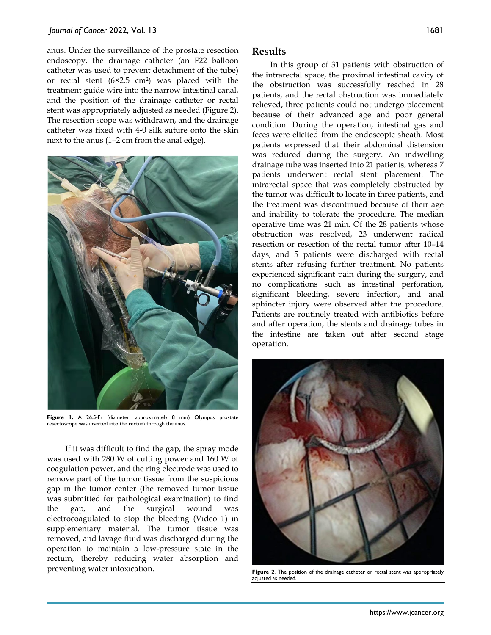anus. Under the surveillance of the prostate resection endoscopy, the drainage catheter (an F22 balloon catheter was used to prevent detachment of the tube) or rectal stent  $(6×2.5 cm<sup>2</sup>)$  was placed with the treatment guide wire into the narrow intestinal canal, and the position of the drainage catheter or rectal stent was appropriately adjusted as needed (Figure 2). The resection scope was withdrawn, and the drainage catheter was fixed with 4-0 silk suture onto the skin next to the anus (1–2 cm from the anal edge).



**Figure 1.** A 26.5-Fr (diameter, approximately 8 mm) Olympus prostate resectoscope was inserted into the rectum through the anus.

If it was difficult to find the gap, the spray mode was used with 280 W of cutting power and 160 W of coagulation power, and the ring electrode was used to remove part of the tumor tissue from the suspicious gap in the tumor center (the removed tumor tissue was submitted for pathological examination) to find the gap, and the surgical wound was electrocoagulated to stop the bleeding (Video 1) in supplementary material. The tumor tissue was removed, and lavage fluid was discharged during the operation to maintain a low-pressure state in the rectum, thereby reducing water absorption and preventing water intoxication.

In this group of 31 patients with obstruction of the intrarectal space, the proximal intestinal cavity of the obstruction was successfully reached in 28 patients, and the rectal obstruction was immediately relieved, three patients could not undergo placement because of their advanced age and poor general condition. During the operation, intestinal gas and feces were elicited from the endoscopic sheath. Most patients expressed that their abdominal distension was reduced during the surgery. An indwelling drainage tube was inserted into 21 patients, whereas 7 patients underwent rectal stent placement. The intrarectal space that was completely obstructed by the tumor was difficult to locate in three patients, and the treatment was discontinued because of their age and inability to tolerate the procedure. The median operative time was 21 min. Of the 28 patients whose obstruction was resolved, 23 underwent radical resection or resection of the rectal tumor after 10–14 days, and 5 patients were discharged with rectal stents after refusing further treatment. No patients experienced significant pain during the surgery, and no complications such as intestinal perforation, significant bleeding, severe infection, and anal sphincter injury were observed after the procedure. Patients are routinely treated with antibiotics before and after operation, the stents and drainage tubes in the intestine are taken out after second stage operation.



**Figure 2**. The position of the drainage catheter or rectal stent was appropriately adjusted as needed.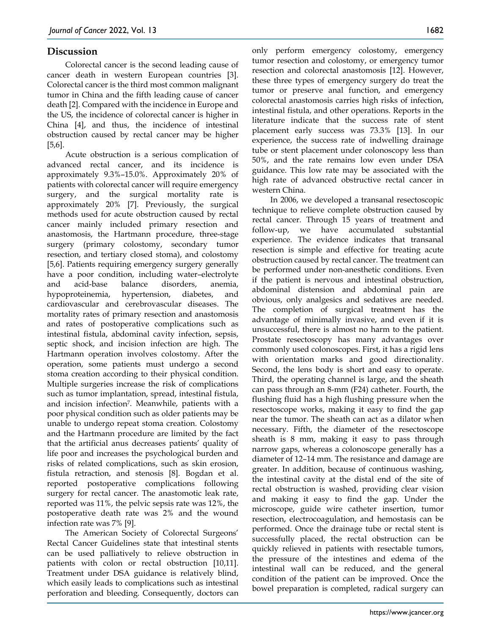## **Discussion**

Colorectal cancer is the second leading cause of cancer death in western European countries [3]. Colorectal cancer is the third most common malignant tumor in China and the fifth leading cause of cancer death [2]. Compared with the incidence in Europe and the US, the incidence of colorectal cancer is higher in China [4], and thus, the incidence of intestinal obstruction caused by rectal cancer may be higher [5,6].

Acute obstruction is a serious complication of advanced rectal cancer, and its incidence is approximately 9.3%–15.0%. Approximately 20% of patients with colorectal cancer will require emergency surgery, and the surgical mortality rate is approximately 20% [7]. Previously, the surgical methods used for acute obstruction caused by rectal cancer mainly included primary resection and anastomosis, the Hartmann procedure, three-stage surgery (primary colostomy, secondary tumor resection, and tertiary closed stoma), and colostomy [5,6]. Patients requiring emergency surgery generally have a poor condition, including water–electrolyte and acid-base balance disorders, anemia, hypoproteinemia, hypertension, diabetes, and cardiovascular and cerebrovascular diseases. The mortality rates of primary resection and anastomosis and rates of postoperative complications such as intestinal fistula, abdominal cavity infection, sepsis, septic shock, and incision infection are high. The Hartmann operation involves colostomy. After the operation, some patients must undergo a second stoma creation according to their physical condition. Multiple surgeries increase the risk of complications such as tumor implantation, spread, intestinal fistula, and incision infection<sup>7</sup>. Meanwhile, patients with a poor physical condition such as older patients may be unable to undergo repeat stoma creation. Colostomy and the Hartmann procedure are limited by the fact that the artificial anus decreases patients' quality of life poor and increases the psychological burden and risks of related complications, such as skin erosion, fistula retraction, and stenosis [8]. Bogdan et al. reported postoperative complications following surgery for rectal cancer. The anastomotic leak rate, reported was 11%, the pelvic sepsis rate was 12%, the postoperative death rate was 2% and the wound infection rate was 7% [9].

The American Society of Colorectal Surgeons' Rectal Cancer Guidelines state that intestinal stents can be used palliatively to relieve obstruction in patients with colon or rectal obstruction [10,11]. Treatment under DSA guidance is relatively blind, which easily leads to complications such as intestinal perforation and bleeding. Consequently, doctors can

only perform emergency colostomy, emergency tumor resection and colostomy, or emergency tumor resection and colorectal anastomosis [12]. However, these three types of emergency surgery do treat the tumor or preserve anal function, and emergency colorectal anastomosis carries high risks of infection, intestinal fistula, and other operations. Reports in the literature indicate that the success rate of stent placement early success was 73.3% [13]. In our experience, the success rate of indwelling drainage tube or stent placement under colonoscopy less than 50%, and the rate remains low even under DSA guidance. This low rate may be associated with the high rate of advanced obstructive rectal cancer in western China.

In 2006, we developed a transanal resectoscopic technique to relieve complete obstruction caused by rectal cancer. Through 15 years of treatment and follow-up, we have accumulated substantial experience. The evidence indicates that transanal resection is simple and effective for treating acute obstruction caused by rectal cancer. The treatment can be performed under non-anesthetic conditions. Even if the patient is nervous and intestinal obstruction, abdominal distension and abdominal pain are obvious, only analgesics and sedatives are needed. The completion of surgical treatment has the advantage of minimally invasive, and even if it is unsuccessful, there is almost no harm to the patient. Prostate resectoscopy has many advantages over commonly used colonoscopes. First, it has a rigid lens with orientation marks and good directionality. Second, the lens body is short and easy to operate. Third, the operating channel is large, and the sheath can pass through an 8-mm (F24) catheter. Fourth, the flushing fluid has a high flushing pressure when the resectoscope works, making it easy to find the gap near the tumor. The sheath can act as a dilator when necessary. Fifth, the diameter of the resectoscope sheath is 8 mm, making it easy to pass through narrow gaps, whereas a colonoscope generally has a diameter of 12–14 mm. The resistance and damage are greater. In addition, because of continuous washing, the intestinal cavity at the distal end of the site of rectal obstruction is washed, providing clear vision and making it easy to find the gap. Under the microscope, guide wire catheter insertion, tumor resection, electrocoagulation, and hemostasis can be performed. Once the drainage tube or rectal stent is successfully placed, the rectal obstruction can be quickly relieved in patients with resectable tumors, the pressure of the intestines and edema of the intestinal wall can be reduced, and the general condition of the patient can be improved. Once the bowel preparation is completed, radical surgery can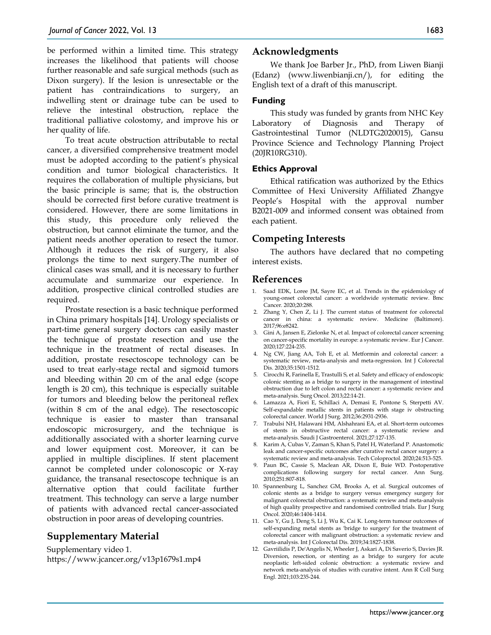be performed within a limited time. This strategy increases the likelihood that patients will choose further reasonable and safe surgical methods (such as Dixon surgery). If the lesion is unresectable or the patient has contraindications to surgery, an indwelling stent or drainage tube can be used to relieve the intestinal obstruction, replace the traditional palliative colostomy, and improve his or her quality of life.

To treat acute obstruction attributable to rectal cancer, a diversified comprehensive treatment model must be adopted according to the patient's physical condition and tumor biological characteristics. It requires the collaboration of multiple physicians, but the basic principle is same; that is, the obstruction should be corrected first before curative treatment is considered. However, there are some limitations in this study, this procedure only relieved the obstruction, but cannot eliminate the tumor, and the patient needs another operation to resect the tumor. Although it reduces the risk of surgery, it also prolongs the time to next surgery.The number of clinical cases was small, and it is necessary to further accumulate and summarize our experience. In addition, prospective clinical controlled studies are required.

Prostate resection is a basic technique performed in China primary hospitals [14]. Urology specialists or part-time general surgery doctors can easily master the technique of prostate resection and use the technique in the treatment of rectal diseases. In addition, prostate resectoscope technology can be used to treat early-stage rectal and sigmoid tumors and bleeding within 20 cm of the anal edge (scope length is 20 cm), this technique is especially suitable for tumors and bleeding below the peritoneal reflex (within 8 cm of the anal edge). The resectoscopic technique is easier to master than transanal endoscopic microsurgery, and the technique is additionally associated with a shorter learning curve and lower equipment cost. Moreover, it can be applied in multiple disciplines. If stent placement cannot be completed under colonoscopic or X-ray guidance, the transanal resectoscope technique is an alternative option that could facilitate further treatment. This technology can serve a large number of patients with advanced rectal cancer-associated obstruction in poor areas of developing countries.

## **Supplementary Material**

Supplementary video 1. https://www.jcancer.org/v13p1679s1.mp4

## **Acknowledgments**

We thank Joe Barber Jr., PhD, from Liwen Bianji (Edanz) (www.liwenbianji.cn/), for editing the English text of a draft of this manuscript.

#### **Funding**

This study was funded by grants from NHC Key Laboratory of Diagnosis and Therapy of Gastrointestinal Tumor (NLDTG2020015), Gansu Province Science and Technology Planning Project (20JR10RG310).

#### **Ethics Approval**

Ethical ratification was authorized by the Ethics Committee of Hexi University Affiliated Zhangye People's Hospital with the approval number B2021-009 and informed consent was obtained from each patient.

## **Competing Interests**

The authors have declared that no competing interest exists.

## **References**

- 1. Saad EDK, Loree JM, Sayre EC, et al. Trends in the epidemiology of young-onset colorectal cancer: a worldwide systematic review. Bmc Cancer. 2020;20:288.
- 2. Zhang Y, Chen Z, Li J. The current status of treatment for colorectal cancer in china: a systematic review. Medicine (Baltimore). 2017;96:e8242.
- 3. Gini A, Jansen E, Zielonke N, et al. Impact of colorectal cancer screening on cancer-specific mortality in europe: a systematic review. Eur J Cancer. 2020;127:224-235.
- 4. Ng CW, Jiang AA, Toh E, et al. Metformin and colorectal cancer: a systematic review, meta-analysis and meta-regression. Int J Colorectal Dis. 2020;35:1501-1512.
- 5. Cirocchi R, Farinella E, Trastulli S, et al. Safety and efficacy of endoscopic colonic stenting as a bridge to surgery in the management of intestinal obstruction due to left colon and rectal cancer: a systematic review and meta-analysis. Surg Oncol. 2013;22:14-21.
- 6. Lamazza A, Fiori E, Schillaci A, Demasi E, Pontone S, Sterpetti AV. Self-expandable metallic stents in patients with stage iv obstructing colorectal cancer. World J Surg. 2012;36:2931-2936.
- 7. Trabulsi NH, Halawani HM, Alshahrani EA, et al. Short-term outcomes of stents in obstructive rectal cancer: a systematic review and meta-analysis. Saudi J Gastroenterol. 2021;27:127-135.
- 8. Karim A, Cubas V, Zaman S, Khan S, Patel H, Waterland P. Anastomotic leak and cancer-specific outcomes after curative rectal cancer surgery: a systematic review and meta-analysis. Tech Coloproctol. 2020;24:513-525.
- 9. Paun BC, Cassie S, Maclean AR, Dixon E, Buie WD. Postoperative complications following surgery for rectal cancer. Ann Surg. 2010;251:807-818.
- 10. Spannenburg L, Sanchez GM, Brooks A, et al. Surgical outcomes of colonic stents as a bridge to surgery versus emergency surgery for malignant colorectal obstruction: a systematic review and meta-analysis of high quality prospective and randomised controlled trials. Eur J Surg Oncol. 2020;46:1404-1414.
- 11. Cao Y, Gu J, Deng S, Li J, Wu K, Cai K. Long-term tumour outcomes of self-expanding metal stents as 'bridge to surgery' for the treatment of colorectal cancer with malignant obstruction: a systematic review and meta-analysis. Int J Colorectal Dis. 2019;34:1827-1838.
- 12. Gavriilidis P, De'Angelis N, Wheeler J, Askari A, Di Saverio S, Davies JR. Diversion, resection, or stenting as a bridge to surgery for acute neoplastic left-sided colonic obstruction: a systematic review and network meta-analysis of studies with curative intent. Ann R Coll Surg Engl. 2021;103:235-244.